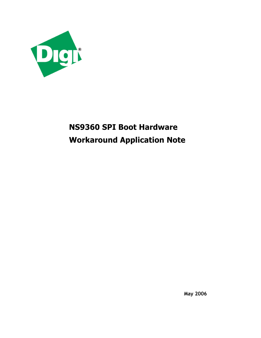

# **NS9360 SPI Boot Hardware Workaround Application Note**

**May 2006**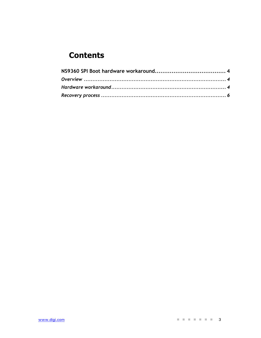# **Contents**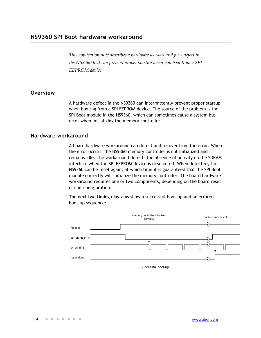*This application note describes a hardware workaround for a defect in the NS9360 that can prevent proper startup when you boot from a SPI EEPROM device.* 

#### **Overview**

A hardware defect in the NS9360 can intermittently prevent proper startup when booting from a SPI EEPROM device. The source of the problem is the SPI Boot module in the NS9360, which can sometimes cause a system bus error when initializing the memory controller.

#### **Hardware workaround**

A board hardware workaround can detect and recover from the error. When the error occurs, the NS9360 memory controller is not initialized and remains idle. The workaround detects the absence of activity on the SDRAM interface when the SPI EEPROM device is deselected. When detected, the NS9360 can be reset again, at which time it is guaranteed that the SPI Boot module correctly will initialize the memory controller. The board hardware workaround requires one or two components, depending on the board reset circuit configuration.

The next two timing diagrams show a successful boot-up and an errored boot-up sequence:



Successful boot-up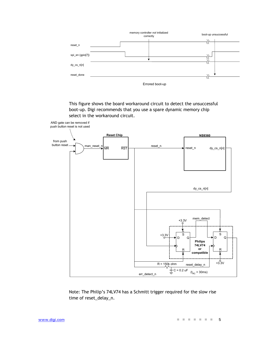

This figure shows the board workaround circuit to detect the unsuccessful boot-up. Digi recommends that you use a spare dynamic memory chip select in the workaround circuit.



Note: The Philip's 74LV74 has a Schmitt trigger required for the slow rise time of reset\_delay\_n.